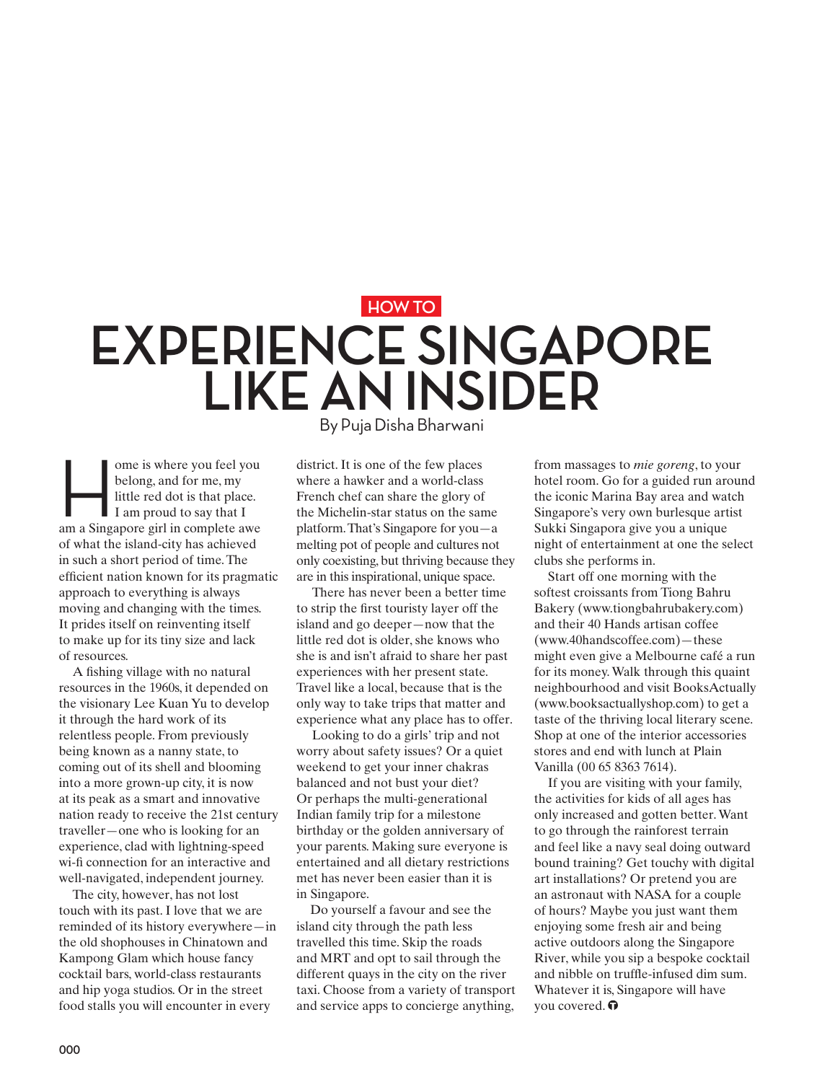## **HOW TO EXPERIENCE SINGAPORE LIKE AN INSIDER**

ome is where you feel you<br>belong, and for me, my<br>little red dot is that place.<br>I am proud to say that I<br>am a Singapore girl in complete awe belong, and for me, my little red dot is that place. I am proud to say that I of what the island-city has achieved in such a short period of time. The efficient nation known for its pragmatic approach to everything is always moving and changing with the times. It prides itself on reinventing itself to make up for its tiny size and lack of resources.

A fishing village with no natural resources in the 1960s, it depended on the visionary Lee Kuan Yu to develop it through the hard work of its relentless people. From previously being known as a nanny state, to coming out of its shell and blooming into a more grown-up city, it is now at its peak as a smart and innovative nation ready to receive the 21st century traveller—one who is looking for an experience, clad with lightning-speed wi-fi connection for an interactive and well-navigated, independent journey.

The city, however, has not lost touch with its past. I love that we are reminded of its history everywhere—in the old shophouses in Chinatown and Kampong Glam which house fancy cocktail bars, world-class restaurants and hip yoga studios. Or in the street food stalls you will encounter in every

By Puja Disha Bharwani

district. It is one of the few places where a hawker and a world-class French chef can share the glory of the Michelin-star status on the same platform. That's Singapore for you—a melting pot of people and cultures not only coexisting, but thriving because they are in this inspirational, unique space.

There has never been a better time to strip the first touristy layer off the island and go deeper—now that the little red dot is older, she knows who she is and isn't afraid to share her past experiences with her present state. Travel like a local, because that is the only way to take trips that matter and experience what any place has to offer.

Looking to do a girls' trip and not worry about safety issues? Or a quiet weekend to get your inner chakras balanced and not bust your diet? Or perhaps the multi-generational Indian family trip for a milestone birthday or the golden anniversary of your parents. Making sure everyone is entertained and all dietary restrictions met has never been easier than it is in Singapore.

Do yourself a favour and see the island city through the path less travelled this time. Skip the roads and MRT and opt to sail through the different quays in the city on the river taxi. Choose from a variety of transport and service apps to concierge anything,

from massages to *mie goreng*, to your hotel room. Go for a guided run around the iconic Marina Bay area and watch Singapore's very own burlesque artist Sukki Singapora give you a unique night of entertainment at one the select clubs she performs in.

Start off one morning with the softest croissants from Tiong Bahru Bakery (www.tiongbahrubakery.com) and their 40 Hands artisan coffee (www.40handscoffee.com)—these might even give a Melbourne café a run for its money. Walk through this quaint neighbourhood and visit BooksActually (www.booksactuallyshop.com) to get a taste of the thriving local literary scene. Shop at one of the interior accessories stores and end with lunch at Plain Vanilla (00 65 8363 7614).

If you are visiting with your family, the activities for kids of all ages has only increased and gotten better. Want to go through the rainforest terrain and feel like a navy seal doing outward bound training? Get touchy with digital art installations? Or pretend you are an astronaut with NASA for a couple of hours? Maybe you just want them enjoying some fresh air and being active outdoors along the Singapore River, while you sip a bespoke cocktail and nibble on truffle-infused dim sum. Whatever it is, Singapore will have you covered.  $\bullet$